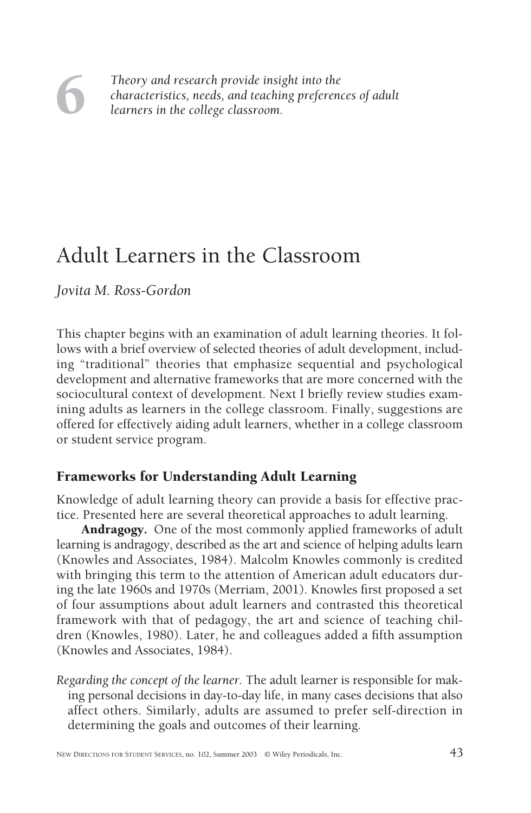# 6

*Theory and research provide insight into the characteristics, needs, and teaching preferences of adult learners in the college classroom.*

## Adult Learners in the Classroom

*Jovita M. Ross-Gordon*

This chapter begins with an examination of adult learning theories. It follows with a brief overview of selected theories of adult development, including "traditional" theories that emphasize sequential and psychological development and alternative frameworks that are more concerned with the sociocultural context of development. Next I briefly review studies examining adults as learners in the college classroom. Finally, suggestions are offered for effectively aiding adult learners, whether in a college classroom or student service program.

### Frameworks for Understanding Adult Learning

Knowledge of adult learning theory can provide a basis for effective practice. Presented here are several theoretical approaches to adult learning.

**Andragogy.** One of the most commonly applied frameworks of adult learning is andragogy, described as the art and science of helping adults learn (Knowles and Associates, 1984). Malcolm Knowles commonly is credited with bringing this term to the attention of American adult educators during the late 1960s and 1970s (Merriam, 2001). Knowles first proposed a set of four assumptions about adult learners and contrasted this theoretical framework with that of pedagogy, the art and science of teaching children (Knowles, 1980). Later, he and colleagues added a fifth assumption (Knowles and Associates, 1984).

*Regarding the concept of the learner.* The adult learner is responsible for making personal decisions in day-to-day life, in many cases decisions that also affect others. Similarly, adults are assumed to prefer self-direction in determining the goals and outcomes of their learning.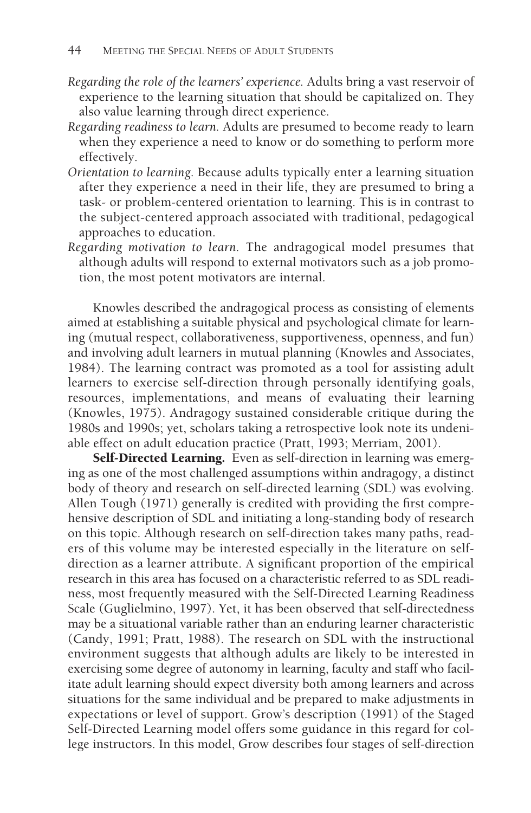- *Regarding the role of the learners' experience.* Adults bring a vast reservoir of experience to the learning situation that should be capitalized on. They also value learning through direct experience.
- *Regarding readiness to learn.* Adults are presumed to become ready to learn when they experience a need to know or do something to perform more effectively.
- *Orientation to learning.* Because adults typically enter a learning situation after they experience a need in their life, they are presumed to bring a task- or problem-centered orientation to learning. This is in contrast to the subject-centered approach associated with traditional, pedagogical approaches to education.
- *Regarding motivation to learn.* The andragogical model presumes that although adults will respond to external motivators such as a job promotion, the most potent motivators are internal.

Knowles described the andragogical process as consisting of elements aimed at establishing a suitable physical and psychological climate for learning (mutual respect, collaborativeness, supportiveness, openness, and fun) and involving adult learners in mutual planning (Knowles and Associates, 1984). The learning contract was promoted as a tool for assisting adult learners to exercise self-direction through personally identifying goals, resources, implementations, and means of evaluating their learning (Knowles, 1975). Andragogy sustained considerable critique during the 1980s and 1990s; yet, scholars taking a retrospective look note its undeniable effect on adult education practice (Pratt, 1993; Merriam, 2001).

Self-Directed Learning. Even as self-direction in learning was emerging as one of the most challenged assumptions within andragogy, a distinct body of theory and research on self-directed learning (SDL) was evolving. Allen Tough (1971) generally is credited with providing the first comprehensive description of SDL and initiating a long-standing body of research on this topic. Although research on self-direction takes many paths, readers of this volume may be interested especially in the literature on selfdirection as a learner attribute. A significant proportion of the empirical research in this area has focused on a characteristic referred to as SDL readiness, most frequently measured with the Self-Directed Learning Readiness Scale (Guglielmino, 1997). Yet, it has been observed that self-directedness may be a situational variable rather than an enduring learner characteristic (Candy, 1991; Pratt, 1988). The research on SDL with the instructional environment suggests that although adults are likely to be interested in exercising some degree of autonomy in learning, faculty and staff who facilitate adult learning should expect diversity both among learners and across situations for the same individual and be prepared to make adjustments in expectations or level of support. Grow's description (1991) of the Staged Self-Directed Learning model offers some guidance in this regard for college instructors. In this model, Grow describes four stages of self-direction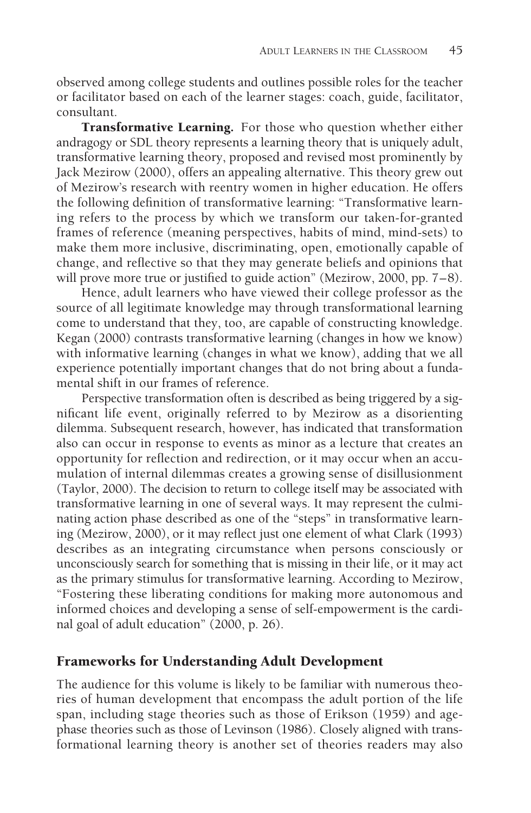observed among college students and outlines possible roles for the teacher or facilitator based on each of the learner stages: coach, guide, facilitator, consultant.

**Transformative Learning.** For those who question whether either andragogy or SDL theory represents a learning theory that is uniquely adult, transformative learning theory, proposed and revised most prominently by Jack Mezirow (2000), offers an appealing alternative. This theory grew out of Mezirow's research with reentry women in higher education. He offers the following definition of transformative learning: "Transformative learning refers to the process by which we transform our taken-for-granted frames of reference (meaning perspectives, habits of mind, mind-sets) to make them more inclusive, discriminating, open, emotionally capable of change, and reflective so that they may generate beliefs and opinions that will prove more true or justified to guide action" (Mezirow, 2000, pp. 7–8).

Hence, adult learners who have viewed their college professor as the source of all legitimate knowledge may through transformational learning come to understand that they, too, are capable of constructing knowledge. Kegan (2000) contrasts transformative learning (changes in how we know) with informative learning (changes in what we know), adding that we all experience potentially important changes that do not bring about a fundamental shift in our frames of reference.

Perspective transformation often is described as being triggered by a significant life event, originally referred to by Mezirow as a disorienting dilemma. Subsequent research, however, has indicated that transformation also can occur in response to events as minor as a lecture that creates an opportunity for reflection and redirection, or it may occur when an accumulation of internal dilemmas creates a growing sense of disillusionment (Taylor, 2000). The decision to return to college itself may be associated with transformative learning in one of several ways. It may represent the culminating action phase described as one of the "steps" in transformative learning (Mezirow, 2000), or it may reflect just one element of what Clark (1993) describes as an integrating circumstance when persons consciously or unconsciously search for something that is missing in their life, or it may act as the primary stimulus for transformative learning. According to Mezirow, "Fostering these liberating conditions for making more autonomous and informed choices and developing a sense of self-empowerment is the cardinal goal of adult education" (2000, p. 26).

#### Frameworks for Understanding Adult Development

The audience for this volume is likely to be familiar with numerous theories of human development that encompass the adult portion of the life span, including stage theories such as those of Erikson (1959) and agephase theories such as those of Levinson (1986). Closely aligned with transformational learning theory is another set of theories readers may also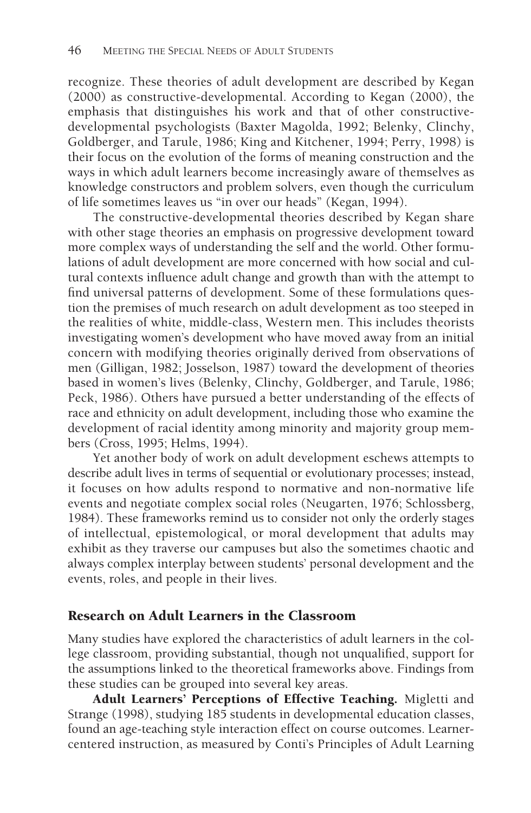recognize. These theories of adult development are described by Kegan (2000) as constructive-developmental. According to Kegan (2000), the emphasis that distinguishes his work and that of other constructivedevelopmental psychologists (Baxter Magolda, 1992; Belenky, Clinchy, Goldberger, and Tarule, 1986; King and Kitchener, 1994; Perry, 1998) is their focus on the evolution of the forms of meaning construction and the ways in which adult learners become increasingly aware of themselves as knowledge constructors and problem solvers, even though the curriculum of life sometimes leaves us "in over our heads" (Kegan, 1994).

The constructive-developmental theories described by Kegan share with other stage theories an emphasis on progressive development toward more complex ways of understanding the self and the world. Other formulations of adult development are more concerned with how social and cultural contexts influence adult change and growth than with the attempt to find universal patterns of development. Some of these formulations question the premises of much research on adult development as too steeped in the realities of white, middle-class, Western men. This includes theorists investigating women's development who have moved away from an initial concern with modifying theories originally derived from observations of men (Gilligan, 1982; Josselson, 1987) toward the development of theories based in women's lives (Belenky, Clinchy, Goldberger, and Tarule, 1986; Peck, 1986). Others have pursued a better understanding of the effects of race and ethnicity on adult development, including those who examine the development of racial identity among minority and majority group members (Cross, 1995; Helms, 1994).

Yet another body of work on adult development eschews attempts to describe adult lives in terms of sequential or evolutionary processes; instead, it focuses on how adults respond to normative and non-normative life events and negotiate complex social roles (Neugarten, 1976; Schlossberg, 1984). These frameworks remind us to consider not only the orderly stages of intellectual, epistemological, or moral development that adults may exhibit as they traverse our campuses but also the sometimes chaotic and always complex interplay between students' personal development and the events, roles, and people in their lives.

#### Research on Adult Learners in the Classroom

Many studies have explored the characteristics of adult learners in the college classroom, providing substantial, though not unqualified, support for the assumptions linked to the theoretical frameworks above. Findings from these studies can be grouped into several key areas.

Adult Learners' Perceptions of Effective Teaching. Migletti and Strange (1998), studying 185 students in developmental education classes, found an age-teaching style interaction effect on course outcomes. Learnercentered instruction, as measured by Conti's Principles of Adult Learning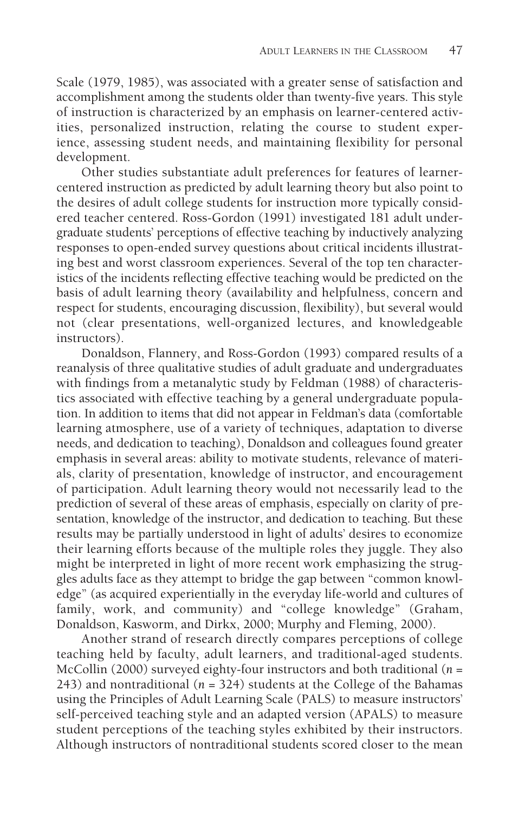Scale (1979, 1985), was associated with a greater sense of satisfaction and accomplishment among the students older than twenty-five years. This style of instruction is characterized by an emphasis on learner-centered activities, personalized instruction, relating the course to student experience, assessing student needs, and maintaining flexibility for personal development.

Other studies substantiate adult preferences for features of learnercentered instruction as predicted by adult learning theory but also point to the desires of adult college students for instruction more typically considered teacher centered. Ross-Gordon (1991) investigated 181 adult undergraduate students' perceptions of effective teaching by inductively analyzing responses to open-ended survey questions about critical incidents illustrating best and worst classroom experiences. Several of the top ten characteristics of the incidents reflecting effective teaching would be predicted on the basis of adult learning theory (availability and helpfulness, concern and respect for students, encouraging discussion, flexibility), but several would not (clear presentations, well-organized lectures, and knowledgeable instructors).

Donaldson, Flannery, and Ross-Gordon (1993) compared results of a reanalysis of three qualitative studies of adult graduate and undergraduates with findings from a metanalytic study by Feldman (1988) of characteristics associated with effective teaching by a general undergraduate population. In addition to items that did not appear in Feldman's data (comfortable learning atmosphere, use of a variety of techniques, adaptation to diverse needs, and dedication to teaching), Donaldson and colleagues found greater emphasis in several areas: ability to motivate students, relevance of materials, clarity of presentation, knowledge of instructor, and encouragement of participation. Adult learning theory would not necessarily lead to the prediction of several of these areas of emphasis, especially on clarity of presentation, knowledge of the instructor, and dedication to teaching. But these results may be partially understood in light of adults' desires to economize their learning efforts because of the multiple roles they juggle. They also might be interpreted in light of more recent work emphasizing the struggles adults face as they attempt to bridge the gap between "common knowledge" (as acquired experientially in the everyday life-world and cultures of family, work, and community) and "college knowledge" (Graham, Donaldson, Kasworm, and Dirkx, 2000; Murphy and Fleming, 2000).

Another strand of research directly compares perceptions of college teaching held by faculty, adult learners, and traditional-aged students. McCollin (2000) surveyed eighty-four instructors and both traditional (*n* = 243) and nontraditional (*n* = 324) students at the College of the Bahamas using the Principles of Adult Learning Scale (PALS) to measure instructors' self-perceived teaching style and an adapted version (APALS) to measure student perceptions of the teaching styles exhibited by their instructors. Although instructors of nontraditional students scored closer to the mean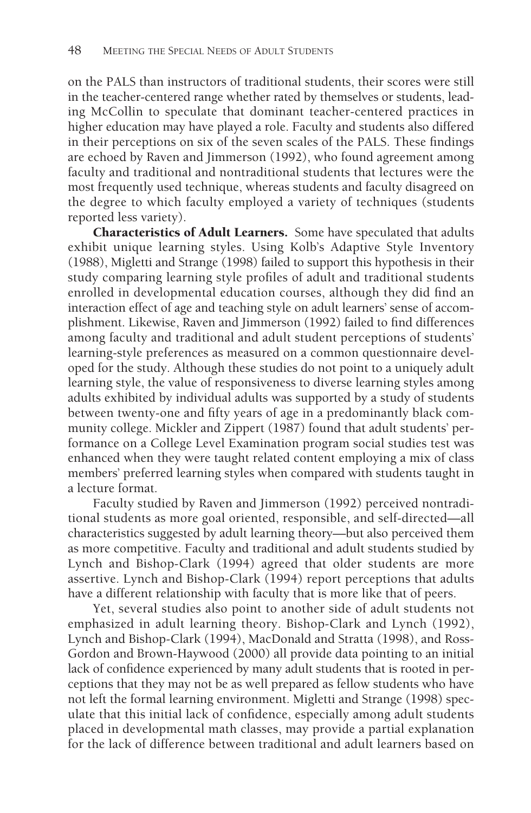on the PALS than instructors of traditional students, their scores were still in the teacher-centered range whether rated by themselves or students, leading McCollin to speculate that dominant teacher-centered practices in higher education may have played a role. Faculty and students also differed in their perceptions on six of the seven scales of the PALS. These findings are echoed by Raven and Jimmerson (1992), who found agreement among faculty and traditional and nontraditional students that lectures were the most frequently used technique, whereas students and faculty disagreed on the degree to which faculty employed a variety of techniques (students reported less variety).

Characteristics of Adult Learners. Some have speculated that adults exhibit unique learning styles. Using Kolb's Adaptive Style Inventory (1988), Migletti and Strange (1998) failed to support this hypothesis in their study comparing learning style profiles of adult and traditional students enrolled in developmental education courses, although they did find an interaction effect of age and teaching style on adult learners' sense of accomplishment. Likewise, Raven and Jimmerson (1992) failed to find differences among faculty and traditional and adult student perceptions of students' learning-style preferences as measured on a common questionnaire developed for the study. Although these studies do not point to a uniquely adult learning style, the value of responsiveness to diverse learning styles among adults exhibited by individual adults was supported by a study of students between twenty-one and fifty years of age in a predominantly black community college. Mickler and Zippert (1987) found that adult students' performance on a College Level Examination program social studies test was enhanced when they were taught related content employing a mix of class members' preferred learning styles when compared with students taught in a lecture format.

Faculty studied by Raven and Jimmerson (1992) perceived nontraditional students as more goal oriented, responsible, and self-directed—all characteristics suggested by adult learning theory—but also perceived them as more competitive. Faculty and traditional and adult students studied by Lynch and Bishop-Clark (1994) agreed that older students are more assertive. Lynch and Bishop-Clark (1994) report perceptions that adults have a different relationship with faculty that is more like that of peers.

Yet, several studies also point to another side of adult students not emphasized in adult learning theory. Bishop-Clark and Lynch (1992), Lynch and Bishop-Clark (1994), MacDonald and Stratta (1998), and Ross-Gordon and Brown-Haywood (2000) all provide data pointing to an initial lack of confidence experienced by many adult students that is rooted in perceptions that they may not be as well prepared as fellow students who have not left the formal learning environment. Migletti and Strange (1998) speculate that this initial lack of confidence, especially among adult students placed in developmental math classes, may provide a partial explanation for the lack of difference between traditional and adult learners based on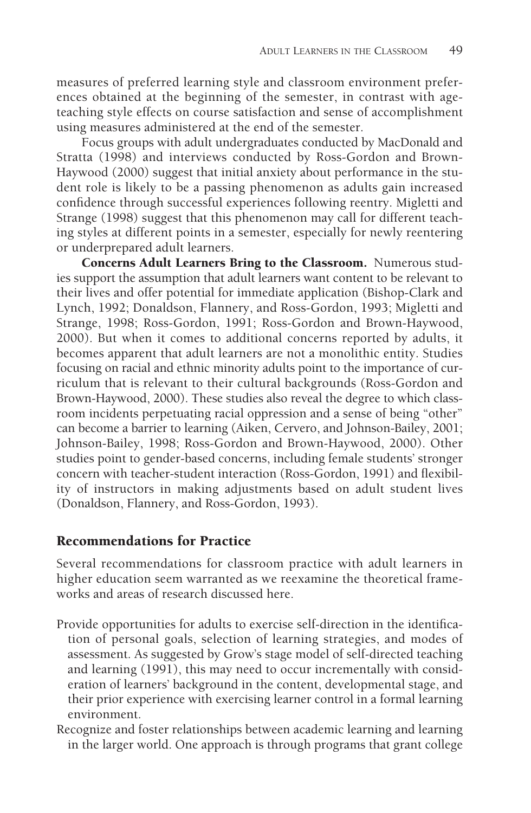measures of preferred learning style and classroom environment preferences obtained at the beginning of the semester, in contrast with ageteaching style effects on course satisfaction and sense of accomplishment using measures administered at the end of the semester.

Focus groups with adult undergraduates conducted by MacDonald and Stratta (1998) and interviews conducted by Ross-Gordon and Brown-Haywood (2000) suggest that initial anxiety about performance in the student role is likely to be a passing phenomenon as adults gain increased confidence through successful experiences following reentry. Migletti and Strange (1998) suggest that this phenomenon may call for different teaching styles at different points in a semester, especially for newly reentering or underprepared adult learners.

Concerns Adult Learners Bring to the Classroom. Numerous studies support the assumption that adult learners want content to be relevant to their lives and offer potential for immediate application (Bishop-Clark and Lynch, 1992; Donaldson, Flannery, and Ross-Gordon, 1993; Migletti and Strange, 1998; Ross-Gordon, 1991; Ross-Gordon and Brown-Haywood, 2000). But when it comes to additional concerns reported by adults, it becomes apparent that adult learners are not a monolithic entity. Studies focusing on racial and ethnic minority adults point to the importance of curriculum that is relevant to their cultural backgrounds (Ross-Gordon and Brown-Haywood, 2000). These studies also reveal the degree to which classroom incidents perpetuating racial oppression and a sense of being "other" can become a barrier to learning (Aiken, Cervero, and Johnson-Bailey, 2001; Johnson-Bailey, 1998; Ross-Gordon and Brown-Haywood, 2000). Other studies point to gender-based concerns, including female students' stronger concern with teacher-student interaction (Ross-Gordon, 1991) and flexibility of instructors in making adjustments based on adult student lives (Donaldson, Flannery, and Ross-Gordon, 1993).

#### Recommendations for Practice

Several recommendations for classroom practice with adult learners in higher education seem warranted as we reexamine the theoretical frameworks and areas of research discussed here.

- Provide opportunities for adults to exercise self-direction in the identification of personal goals, selection of learning strategies, and modes of assessment. As suggested by Grow's stage model of self-directed teaching and learning (1991), this may need to occur incrementally with consideration of learners' background in the content, developmental stage, and their prior experience with exercising learner control in a formal learning environment.
- Recognize and foster relationships between academic learning and learning in the larger world. One approach is through programs that grant college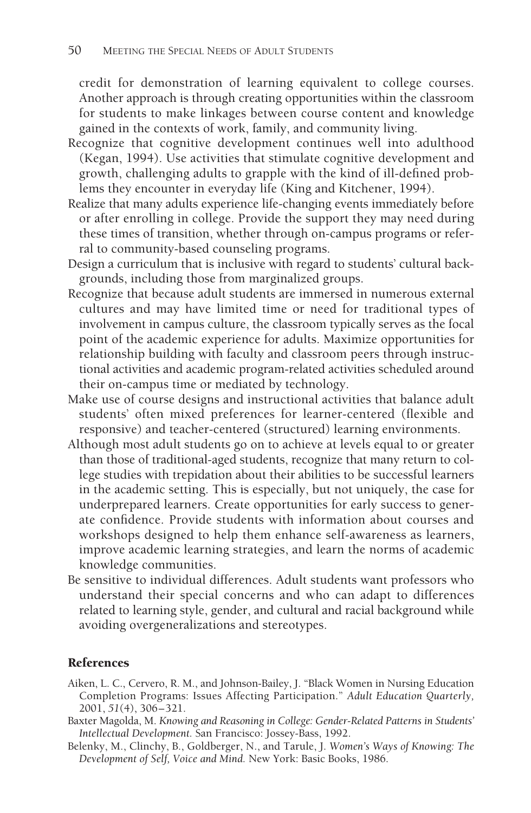credit for demonstration of learning equivalent to college courses. Another approach is through creating opportunities within the classroom for students to make linkages between course content and knowledge gained in the contexts of work, family, and community living.

- Recognize that cognitive development continues well into adulthood (Kegan, 1994). Use activities that stimulate cognitive development and growth, challenging adults to grapple with the kind of ill-defined problems they encounter in everyday life (King and Kitchener, 1994).
- Realize that many adults experience life-changing events immediately before or after enrolling in college. Provide the support they may need during these times of transition, whether through on-campus programs or referral to community-based counseling programs.
- Design a curriculum that is inclusive with regard to students' cultural backgrounds, including those from marginalized groups.
- Recognize that because adult students are immersed in numerous external cultures and may have limited time or need for traditional types of involvement in campus culture, the classroom typically serves as the focal point of the academic experience for adults. Maximize opportunities for relationship building with faculty and classroom peers through instructional activities and academic program-related activities scheduled around their on-campus time or mediated by technology.
- Make use of course designs and instructional activities that balance adult students' often mixed preferences for learner-centered (flexible and responsive) and teacher-centered (structured) learning environments.
- Although most adult students go on to achieve at levels equal to or greater than those of traditional-aged students, recognize that many return to college studies with trepidation about their abilities to be successful learners in the academic setting. This is especially, but not uniquely, the case for underprepared learners. Create opportunities for early success to generate confidence. Provide students with information about courses and workshops designed to help them enhance self-awareness as learners, improve academic learning strategies, and learn the norms of academic knowledge communities.
- Be sensitive to individual differences. Adult students want professors who understand their special concerns and who can adapt to differences related to learning style, gender, and cultural and racial background while avoiding overgeneralizations and stereotypes.

#### References

- Aiken, L. C., Cervero, R. M., and Johnson-Bailey, J. "Black Women in Nursing Education Completion Programs: Issues Affecting Participation." *Adult Education Quarterly,* 2001, *51*(4), 306–321.
- Baxter Magolda, M. *Knowing and Reasoning in College: Gender-Related Patterns in Students' Intellectual Development.* San Francisco: Jossey-Bass, 1992.
- Belenky, M., Clinchy, B., Goldberger, N., and Tarule, J. *Women's Ways of Knowing: The Development of Self, Voice and Mind.* New York: Basic Books, 1986.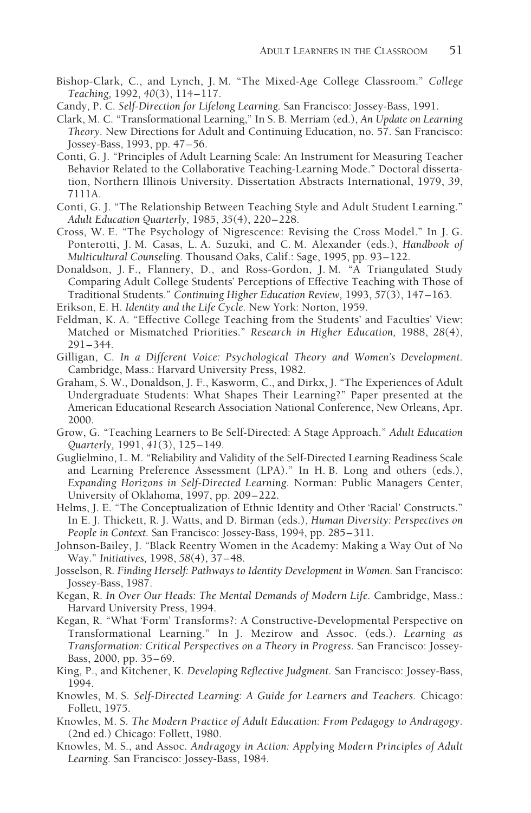- Bishop-Clark, C., and Lynch, J. M. "The Mixed-Age College Classroom." *College Teaching,* 1992, *40*(3), 114–117.
- Candy, P. C. *Self-Direction for Lifelong Learning.* San Francisco: Jossey-Bass, 1991.
- Clark, M. C. "Transformational Learning," In S. B. Merriam (ed.), *An Update on Learning Theory.* New Directions for Adult and Continuing Education, no. 57. San Francisco: Jossey-Bass, 1993, pp. 47–56.
- Conti, G. J. "Principles of Adult Learning Scale: An Instrument for Measuring Teacher Behavior Related to the Collaborative Teaching-Learning Mode." Doctoral dissertation, Northern Illinois University. Dissertation Abstracts International, 1979, *39*, 7111A.
- Conti, G. J. "The Relationship Between Teaching Style and Adult Student Learning." *Adult Education Quarterly,* 1985, *35*(4), 220–228.
- Cross, W. E. "The Psychology of Nigrescence: Revising the Cross Model." In J. G. Ponterotti, J. M. Casas, L. A. Suzuki, and C. M. Alexander (eds.), *Handbook of Multicultural Counseling.* Thousand Oaks, Calif.: Sage, 1995, pp. 93–122.
- Donaldson, J. F., Flannery, D., and Ross-Gordon, J. M. "A Triangulated Study Comparing Adult College Students' Perceptions of Effective Teaching with Those of Traditional Students." *Continuing Higher Education Review,* 1993, *57*(3), 147–163.
- Erikson, E. H. *Identity and the Life Cycle.* New York: Norton, 1959.
- Feldman, K. A. "Effective College Teaching from the Students' and Faculties' View: Matched or Mismatched Priorities." *Research in Higher Education,* 1988, *28*(4), 291–344.
- Gilligan, C. *In a Different Voice: Psychological Theory and Women's Development.* Cambridge, Mass.: Harvard University Press, 1982.
- Graham, S. W., Donaldson, J. F., Kasworm, C., and Dirkx, J. "The Experiences of Adult Undergraduate Students: What Shapes Their Learning?" Paper presented at the American Educational Research Association National Conference, New Orleans, Apr. 2000.
- Grow, G. "Teaching Learners to Be Self-Directed: A Stage Approach." *Adult Education Quarterly,* 1991, *41*(3), 125–149.
- Guglielmino, L. M. "Reliability and Validity of the Self-Directed Learning Readiness Scale and Learning Preference Assessment (LPA)." In H. B. Long and others (eds.), *Expanding Horizons in Self-Directed Learning.* Norman: Public Managers Center, University of Oklahoma, 1997, pp. 209–222.
- Helms, J. E. "The Conceptualization of Ethnic Identity and Other 'Racial' Constructs." In E. J. Thickett, R. J. Watts, and D. Birman (eds.), *Human Diversity: Perspectives on People in Context.* San Francisco: Jossey-Bass, 1994, pp. 285–311.
- Johnson-Bailey, J. "Black Reentry Women in the Academy: Making a Way Out of No Way." *Initiatives,* 1998, *58*(4), 37–48.
- Josselson, R. *Finding Herself: Pathways to Identity Development in Women.* San Francisco: Jossey-Bass, 1987.
- Kegan, R. *In Over Our Heads: The Mental Demands of Modern Life.* Cambridge, Mass.: Harvard University Press, 1994.
- Kegan, R. "What 'Form' Transforms?: A Constructive-Developmental Perspective on Transformational Learning." In J. Mezirow and Assoc. (eds.). *Learning as Transformation: Critical Perspectives on a Theory in Progress.* San Francisco: Jossey-Bass, 2000, pp. 35–69.
- King, P., and Kitchener, K. *Developing Reflective Judgment.* San Francisco: Jossey-Bass, 1994.
- Knowles, M. S. *Self-Directed Learning: A Guide for Learners and Teachers.* Chicago: Follett, 1975.
- Knowles, M. S. *The Modern Practice of Adult Education: From Pedagogy to Andragogy.* (2nd ed.) Chicago: Follett, 1980.
- Knowles, M. S., and Assoc. *Andragogy in Action: Applying Modern Principles of Adult Learning.* San Francisco: Jossey-Bass, 1984.